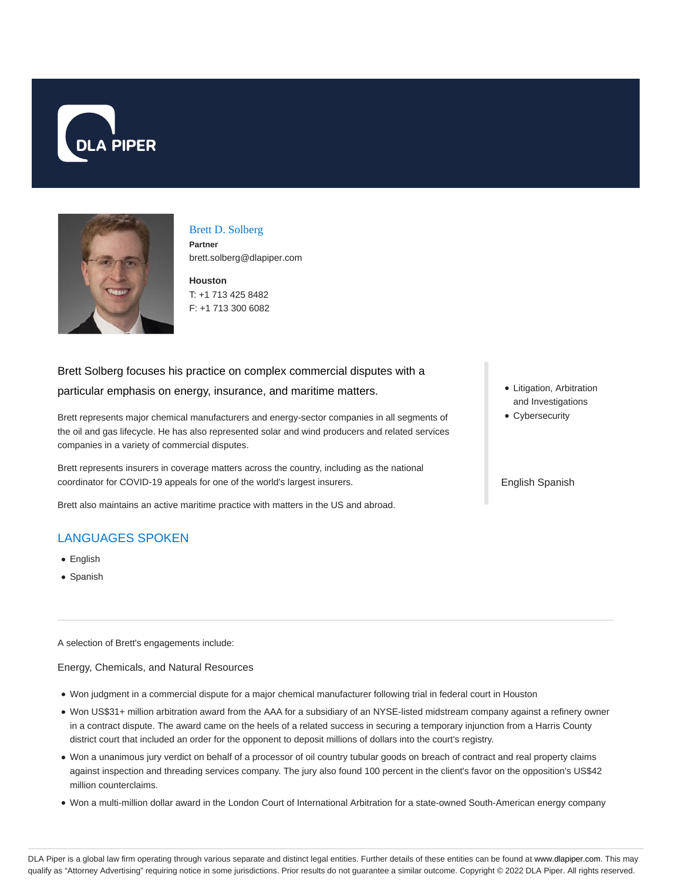



### Brett D. Solberg **Partner**

brett.solberg@dlapiper.com

**Houston** T: +1 713 425 8482 F: +1 713 300 6082

# Brett Solberg focuses his practice on complex commercial disputes with a particular emphasis on energy, insurance, and maritime matters.

Brett represents major chemical manufacturers and energy-sector companies in all segments of the oil and gas lifecycle. He has also represented solar and wind producers and related services companies in a variety of commercial disputes.

Brett represents insurers in coverage matters across the country, including as the national coordinator for COVID-19 appeals for one of the world's largest insurers.

Brett also maintains an active maritime practice with matters in the US and abroad.

## LANGUAGES SPOKEN

- English
- Spanish

A selection of Brett's engagements include:

Energy, Chemicals, and Natural Resources

- Won judgment in a commercial dispute for a major chemical manufacturer following trial in federal court in Houston
- Won US\$31+ million arbitration award from the AAA for a subsidiary of an NYSE-listed midstream company against a refinery owner in a contract dispute. The award came on the heels of a related success in securing a temporary injunction from a Harris County district court that included an order for the opponent to deposit millions of dollars into the court's registry.
- Won a unanimous jury verdict on behalf of a processor of oil country tubular goods on breach of contract and real property claims against inspection and threading services company. The jury also found 100 percent in the client's favor on the opposition's US\$42 million counterclaims.
- Won a multi-million dollar award in the London Court of International Arbitration for a state-owned South-American energy company
- Litigation, Arbitration and Investigations
- Cybersecurity

English Spanish

DLA Piper is a global law firm operating through various separate and distinct legal entities. Further details of these entities can be found at www.dlapiper.com. This may qualify as "Attorney Advertising" requiring notice in some jurisdictions. Prior results do not guarantee a similar outcome. Copyright @ 2022 DLA Piper. All rights reserved.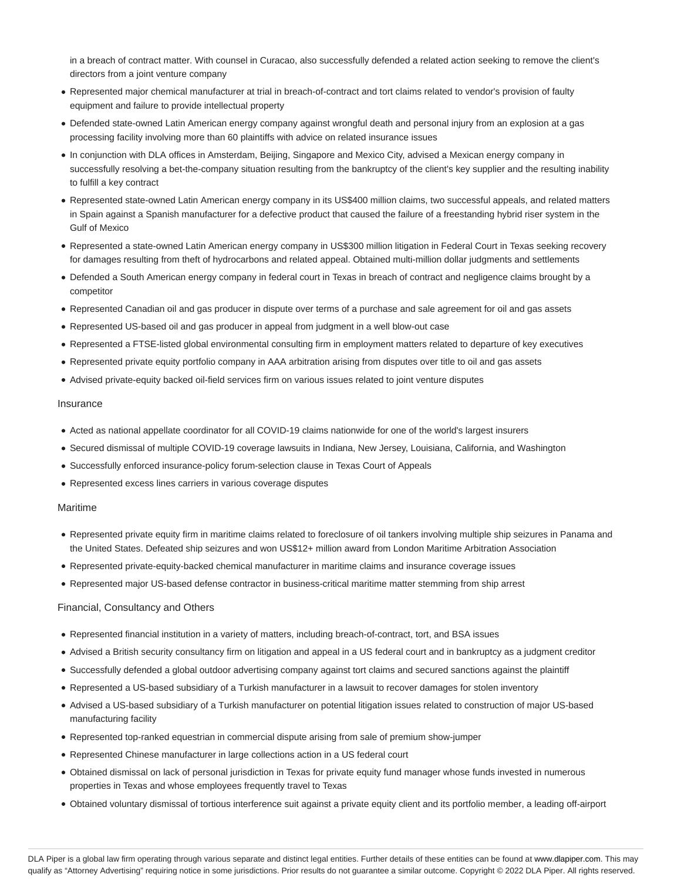in a breach of contract matter. With counsel in Curacao, also successfully defended a related action seeking to remove the client's directors from a joint venture company

- Represented major chemical manufacturer at trial in breach-of-contract and tort claims related to vendor's provision of faulty equipment and failure to provide intellectual property
- Defended state-owned Latin American energy company against wrongful death and personal injury from an explosion at a gas processing facility involving more than 60 plaintiffs with advice on related insurance issues
- In conjunction with DLA offices in Amsterdam, Beijing, Singapore and Mexico City, advised a Mexican energy company in successfully resolving a bet-the-company situation resulting from the bankruptcy of the client's key supplier and the resulting inability to fulfill a key contract
- Represented state-owned Latin American energy company in its US\$400 million claims, two successful appeals, and related matters in Spain against a Spanish manufacturer for a defective product that caused the failure of a freestanding hybrid riser system in the Gulf of Mexico
- Represented a state-owned Latin American energy company in US\$300 million litigation in Federal Court in Texas seeking recovery for damages resulting from theft of hydrocarbons and related appeal. Obtained multi-million dollar judgments and settlements
- Defended a South American energy company in federal court in Texas in breach of contract and negligence claims brought by a competitor
- Represented Canadian oil and gas producer in dispute over terms of a purchase and sale agreement for oil and gas assets
- Represented US-based oil and gas producer in appeal from judgment in a well blow-out case
- Represented a FTSE-listed global environmental consulting firm in employment matters related to departure of key executives
- Represented private equity portfolio company in AAA arbitration arising from disputes over title to oil and gas assets
- Advised private-equity backed oil-field services firm on various issues related to joint venture disputes

#### Insurance

- Acted as national appellate coordinator for all COVID-19 claims nationwide for one of the world's largest insurers
- Secured dismissal of multiple COVID-19 coverage lawsuits in Indiana, New Jersey, Louisiana, California, and Washington
- Successfully enforced insurance-policy forum-selection clause in Texas Court of Appeals
- Represented excess lines carriers in various coverage disputes

#### Maritime

- Represented private equity firm in maritime claims related to foreclosure of oil tankers involving multiple ship seizures in Panama and the United States. Defeated ship seizures and won US\$12+ million award from London Maritime Arbitration Association
- Represented private-equity-backed chemical manufacturer in maritime claims and insurance coverage issues
- Represented major US-based defense contractor in business-critical maritime matter stemming from ship arrest

#### Financial, Consultancy and Others

- Represented financial institution in a variety of matters, including breach-of-contract, tort, and BSA issues
- Advised a British security consultancy firm on litigation and appeal in a US federal court and in bankruptcy as a judgment creditor
- Successfully defended a global outdoor advertising company against tort claims and secured sanctions against the plaintiff
- Represented a US-based subsidiary of a Turkish manufacturer in a lawsuit to recover damages for stolen inventory
- Advised a US-based subsidiary of a Turkish manufacturer on potential litigation issues related to construction of major US-based manufacturing facility
- Represented top-ranked equestrian in commercial dispute arising from sale of premium show-jumper
- Represented Chinese manufacturer in large collections action in a US federal court
- Obtained dismissal on lack of personal jurisdiction in Texas for private equity fund manager whose funds invested in numerous properties in Texas and whose employees frequently travel to Texas
- Obtained voluntary dismissal of tortious interference suit against a private equity client and its portfolio member, a leading off-airport